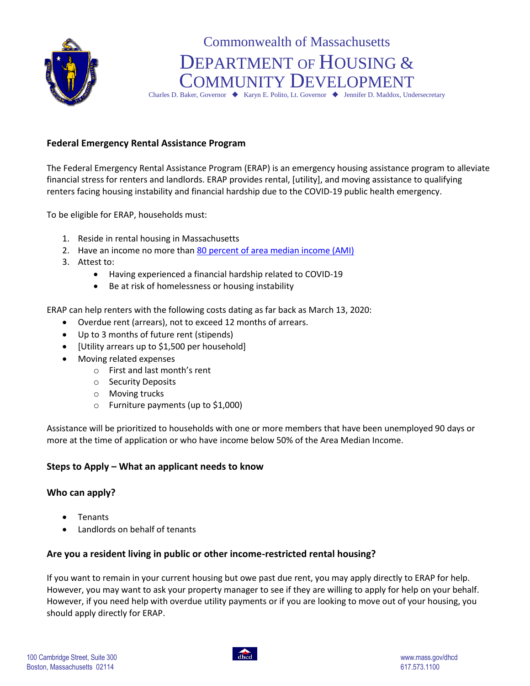

# Commonwealth of Massachusetts DEPARTMENT OF HOUSING & COMMUNITY DEVELOPMENT

Charles D. Baker, Governor  $\blacklozenge$  Karyn E. Polito, Lt. Governor  $\blacklozenge$  Jennifer D. Maddox, Undersecretary

## **Federal Emergency Rental Assistance Program**

The Federal Emergency Rental Assistance Program (ERAP) is an emergency housing assistance program to alleviate financial stress for renters and landlords. ERAP provides rental, [utility], and moving assistance to qualifying renters facing housing instability and financial hardship due to the COVID-19 public health emergency.

To be eligible for ERAP, households must:

- 1. Reside in rental housing in Massachusetts
- 2. Have an income no more tha[n 80 percent of area median income \(AMI\)](https://hedfuel.azurewebsites.net/raa.aspx)
- 3. Attest to:
	- Having experienced a financial hardship related to COVID-19
	- Be at risk of homelessness or housing instability

ERAP can help renters with the following costs dating as far back as March 13, 2020:

- Overdue rent (arrears), not to exceed 12 months of arrears.
- Up to 3 months of future rent (stipends)
- [Utility arrears up to \$1,500 per household]
- Moving related expenses
	- o First and last month's rent
	- o Security Deposits
	- o Moving trucks
	- o Furniture payments (up to \$1,000)

Assistance will be prioritized to households with one or more members that have been unemployed 90 days or more at the time of application or who have income below 50% of the Area Median Income.

## **Steps to Apply – What an applicant needs to know**

#### **Who can apply?**

- Tenants
- Landlords on behalf of tenants

## **Are you a resident living in public or other income-restricted rental housing?**

If you want to remain in your current housing but owe past due rent, you may apply directly to ERAP for help. However, you may want to ask your property manager to see if they are willing to apply for help on your behalf. However, if you need help with overdue utility payments or if you are looking to move out of your housing, you should apply directly for ERAP.